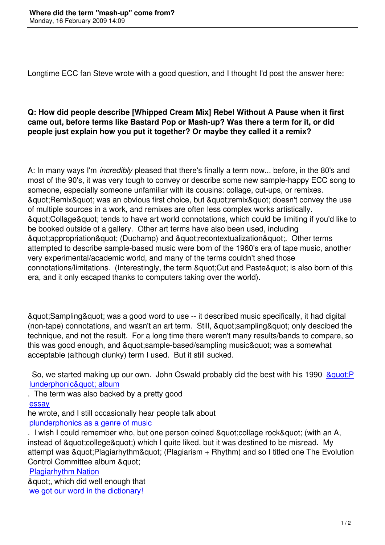Longtime ECC fan Steve wrote with a good question, and I thought I'd post the answer here:

## **Q: How did people describe [Whipped Cream Mix] Rebel Without A Pause when it first came out, before terms like Bastard Pop or Mash-up? Was there a term for it, or did people just explain how you put it together? Or maybe they called it a remix?**

A: In many ways I'm *incredibly* pleased that there's finally a term now... before, in the 80's and most of the 90's, it was very tough to convey or describe some new sample-happy ECC song to someone, especially someone unfamiliar with its cousins: collage, cut-ups, or remixes. & guot; Remix& guot; was an obvious first choice, but & guot; remix& guot; doesn't convey the use of multiple sources in a work, and remixes are often less complex works artistically. & auot: Collage & quot: tends to have art world connotations, which could be limiting if you'd like to be booked outside of a gallery. Other art terms have also been used, including & guot; appropriation & quot; (Duchamp) and & quot; recontextualization & quot;. Other terms attempted to describe sample-based music were born of the 1960's era of tape music, another very experimental/academic world, and many of the terms couldn't shed those connotations/limitations. (Interestingly, the term & quot: Cut and Paste & quot: is also born of this era, and it only escaped thanks to computers taking over the world).

"Sampling" was a good word to use -- it described music specifically, it had digital (non-tape) connotations, and wasn't an art term. Still, &quot:sampling" only descibed the technique, and not the result. For a long time there weren't many results/bands to compare, so this was good enough, and " sample-based/sampling music" was a somewhat acceptable (although clunky) term I used. But it still sucked.

So, we started making up our own. John Oswald probably did the best with his 1990 & auot: P lunderphonic" album

. The term was also backed by a pretty good

essay

[he wrote, and I still occasio](http://www.plunderphonics.com/xhtml/xnotes.html#plunderphonic)nally hear people talk about plunderphonics as a genre of music

. I wish I could remember who, but one person coined & quot: collage rock & quot: (with an A, instead of & quot: college & quot:) which I quite liked, but it was destined to be misread. My attempt was  $\&$ quot; Plagiarhythm $\&$ quot; (Plagiarism  $+$  Rhythm) and so I titled one The Evolution Control Committee album & quot:

Plagiarhythm Nation

& quot;, which did well enough that we got our word in the dictionary!